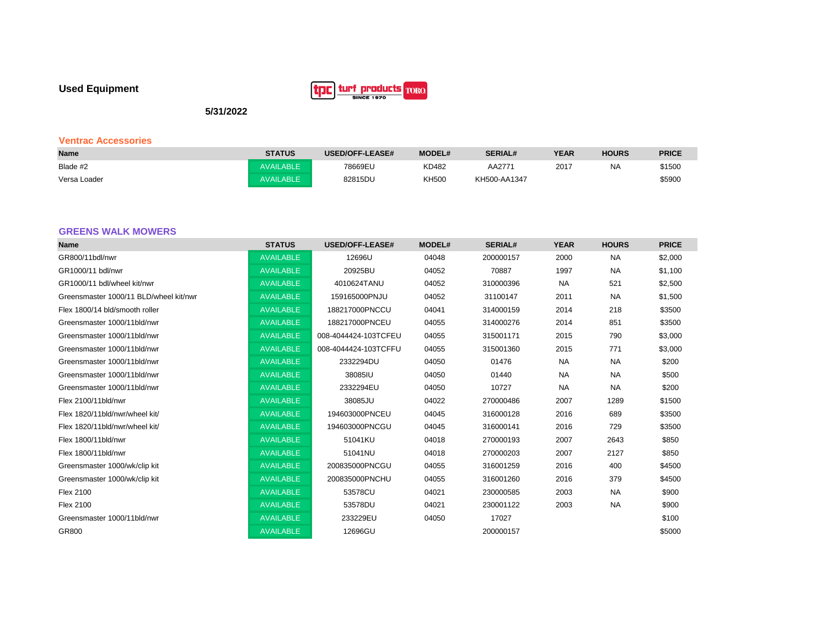# **Used Equipment**



**5/31/2022**

# **Ventrac Accessories**

| <b>Name</b>  | <b>STATUS</b>    | <b>USED/OFF-LEASE#</b> | <b>MODEL#</b> | <b>SERIAL#</b> | <b>YEAR</b> | <b>HOURS</b> | <b>PRICE</b> |
|--------------|------------------|------------------------|---------------|----------------|-------------|--------------|--------------|
| Blade #2     | <b>AVAILABLE</b> | 78669EU                | KD482         | AA2771         | 2017        | <b>NA</b>    | \$1500       |
| Versa Loader | <b>AVAILABLE</b> | 82815DU                | <b>KH500</b>  | KH500-AA1347   |             |              | \$5900       |

# **GREENS WALK MOWERS**

| <b>Name</b>                            | <b>STATUS</b>    | <b>USED/OFF-LEASE#</b> | <b>MODEL#</b> | <b>SERIAL#</b> | <b>YEAR</b> | <b>HOURS</b> | <b>PRICE</b> |
|----------------------------------------|------------------|------------------------|---------------|----------------|-------------|--------------|--------------|
| GR800/11bdl/nwr                        | <b>AVAILABLE</b> | 12696U                 | 04048         | 200000157      | 2000        | <b>NA</b>    | \$2,000      |
| GR1000/11 bdl/nwr                      | <b>AVAILABLE</b> | 20925BU                | 04052         | 70887          | 1997        | <b>NA</b>    | \$1,100      |
| GR1000/11 bdl/wheel kit/nwr            | <b>AVAILABLE</b> | 4010624TANU            | 04052         | 310000396      | <b>NA</b>   | 521          | \$2,500      |
| Greensmaster 1000/11 BLD/wheel kit/nwr | <b>AVAILABLE</b> | 159165000PNJU          | 04052         | 31100147       | 2011        | <b>NA</b>    | \$1,500      |
| Flex 1800/14 bld/smooth roller         | <b>AVAILABLE</b> | 188217000PNCCU         | 04041         | 314000159      | 2014        | 218          | \$3500       |
| Greensmaster 1000/11bld/nwr            | <b>AVAILABLE</b> | 188217000PNCEU         | 04055         | 314000276      | 2014        | 851          | \$3500       |
| Greensmaster 1000/11bld/nwr            | <b>AVAILABLE</b> | 008-4044424-103TCFEU   | 04055         | 315001171      | 2015        | 790          | \$3,000      |
| Greensmaster 1000/11bld/nwr            | <b>AVAILABLE</b> | 008-4044424-103TCFFU   | 04055         | 315001360      | 2015        | 771          | \$3,000      |
| Greensmaster 1000/11bld/nwr            | <b>AVAILABLE</b> | 2332294DU              | 04050         | 01476          | <b>NA</b>   | <b>NA</b>    | \$200        |
| Greensmaster 1000/11bld/nwr            | <b>AVAILABLE</b> | 38085IU                | 04050         | 01440          | <b>NA</b>   | <b>NA</b>    | \$500        |
| Greensmaster 1000/11bld/nwr            | <b>AVAILABLE</b> | 2332294EU              | 04050         | 10727          | <b>NA</b>   | <b>NA</b>    | \$200        |
| Flex 2100/11bld/nwr                    | <b>AVAILABLE</b> | 38085JU                | 04022         | 270000486      | 2007        | 1289         | \$1500       |
| Flex 1820/11bld/nwr/wheel kit/         | <b>AVAILABLE</b> | 194603000PNCEU         | 04045         | 316000128      | 2016        | 689          | \$3500       |
| Flex 1820/11bld/nwr/wheel kit/         | <b>AVAILABLE</b> | 194603000PNCGU         | 04045         | 316000141      | 2016        | 729          | \$3500       |
| Flex 1800/11bld/nwr                    | <b>AVAILABLE</b> | 51041KU                | 04018         | 270000193      | 2007        | 2643         | \$850        |
| Flex 1800/11bld/nwr                    | <b>AVAILABLE</b> | 51041NU                | 04018         | 270000203      | 2007        | 2127         | \$850        |
| Greensmaster 1000/wk/clip kit          | <b>AVAILABLE</b> | 200835000PNCGU         | 04055         | 316001259      | 2016        | 400          | \$4500       |
| Greensmaster 1000/wk/clip kit          | <b>AVAILABLE</b> | 200835000PNCHU         | 04055         | 316001260      | 2016        | 379          | \$4500       |
| <b>Flex 2100</b>                       | <b>AVAILABLE</b> | 53578CU                | 04021         | 230000585      | 2003        | <b>NA</b>    | \$900        |
| <b>Flex 2100</b>                       | <b>AVAILABLE</b> | 53578DU                | 04021         | 230001122      | 2003        | <b>NA</b>    | \$900        |
| Greensmaster 1000/11bld/nwr            | <b>AVAILABLE</b> | 233229EU               | 04050         | 17027          |             |              | \$100        |
| GR800                                  | <b>AVAILABLE</b> | 12696GU                |               | 200000157      |             |              | \$5000       |